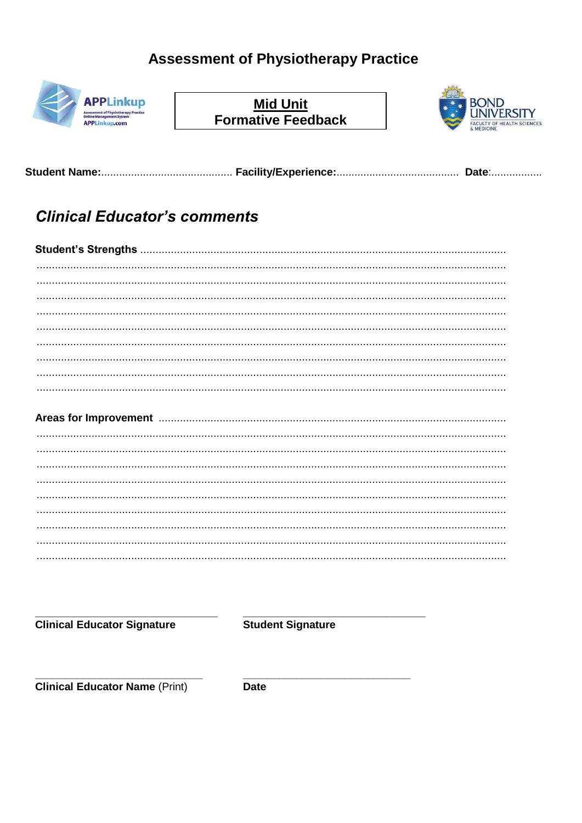## **Assessment of Physiotherapy Practice**



Mid Unit<br>Formative Feedback



# **Clinical Educator's comments**

### 

**Clinical Educator Signature** 

**Student Signature** 

**Clinical Educator Name (Print)** 

**Date**